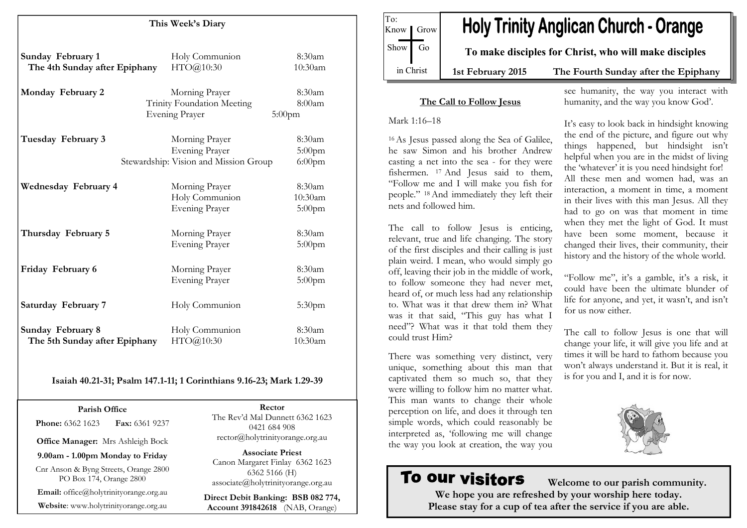| This Week's Diary                                  |                                                                                  |                                |
|----------------------------------------------------|----------------------------------------------------------------------------------|--------------------------------|
| Sunday February 1<br>The 4th Sunday after Epiphany | Holy Communion<br>HTO@10:30                                                      | 8:30am<br>10:30am              |
| Monday February 2                                  | Morning Prayer<br>Trinity Foundation Meeting<br><b>Evening Prayer</b>            | 8:30am<br>8:00am<br>$5:00$ pm  |
| Tuesday February 3                                 | Morning Prayer<br><b>Evening Prayer</b><br>Stewardship: Vision and Mission Group | 8:30am<br>5:00pm<br>$6:00$ pm  |
| Wednesday February 4                               | Morning Prayer<br>Holy Communion<br><b>Evening Prayer</b>                        | 8:30am<br>10:30am<br>$5:00$ pm |
| Thursday February 5                                | Morning Prayer<br>Evening Prayer                                                 | 8:30am<br>$5:00$ pm            |
| Friday February 6                                  | Morning Prayer<br><b>Evening Prayer</b>                                          | 8:30am<br>$5:00$ pm            |
| Saturday February 7                                | Holy Communion                                                                   | 5:30 <sub>pm</sub>             |
| Sunday February 8<br>The 5th Sunday after Epiphany | Holy Communion<br>HTO@10:30                                                      | 8:30am<br>10:30am              |

#### Isaiah 40.21-31; Psalm 147.1-11; 1 Corinthians 9.16-23; Mark 1.29-39

Parish Office **Phone: 6362 1623 Fax: 6361 9237** 

Office Manager: Mrs Ashleigh Bock

9.00am - 1.00pm Monday to Friday

Cnr Anson & Byng Streets, Orange 2800 PO Box 174, Orange 2800

Email: office@holytrinityorange.org.au

Website: www.holytrinityorange.org.au

Rector The Rev'd Mal Dunnett 6362 1623 0421 684 908 rector@holytrinityorange.org.au

Associate Priest Canon Margaret Finlay 6362 1623 6362 5166 (H) associate@holytrinityorange.org.au

Direct Debit Banking: BSB 082 774, Account 391842618 (NAB, Orange)

To: **Holy Trinity Anglican Church - Orange** Know *I* Grow  $Show$  Go To make disciples for Christ, who will make disciples in Christ 1st February 2015 The Fourth Sunday after the Epiphany

#### The Call to Follow Jesus

Mark 1:16–18

<sup>16</sup>As Jesus passed along the Sea of Galilee, he saw Simon and his brother Andrew casting a net into the sea - for they were fishermen. 17 And Jesus said to them, "Follow me and I will make you fish for people." 18 And immediately they left their nets and followed him.

The call to follow Jesus is enticing, relevant, true and life changing. The story of the first disciples and their calling is just plain weird. I mean, who would simply go off, leaving their job in the middle of work, to follow someone they had never met, heard of, or much less had any relationship to. What was it that drew them in? What was it that said, "This guy has what I need"? What was it that told them they could trust Him?

There was something very distinct, very unique, something about this man that captivated them so much so, that they were willing to follow him no matter what. This man wants to change their whole perception on life, and does it through ten simple words, which could reasonably be interpreted as, 'following me will change the way you look at creation, the way you

## To our visitors

 Welcome to our parish community. We hope you are refreshed by your worship here today. Please stay for a cup of tea after the service if you are able.

see humanity, the way you interact with humanity, and the way you know God'.

It's easy to look back in hindsight knowing the end of the picture, and figure out why things happened, but hindsight isn't helpful when you are in the midst of living the 'whatever' it is you need hindsight for! All these men and women had, was an interaction, a moment in time, a moment in their lives with this man Jesus. All they had to go on was that moment in time when they met the light of God. It must have been some moment, because it changed their lives, their community, their history and the history of the whole world.

"Follow me", it's a gamble, it's a risk, it could have been the ultimate blunder of life for anyone, and yet, it wasn't, and isn't for us now either.

The call to follow Jesus is one that will change your life, it will give you life and at times it will be hard to fathom because you won't always understand it. But it is real, it is for you and I, and it is for now.